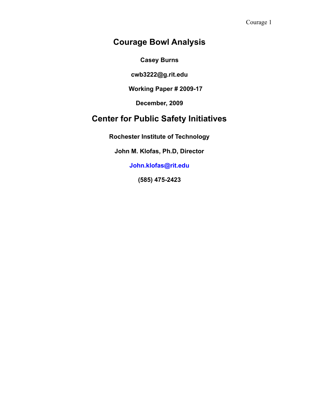# **Courage Bowl Analysis**

**Casey Burns**

**cwb3222@g.rit.edu**

**Working Paper # 2009-17**

**December, 2009**

# **Center for Public Safety Initiatives**

**Rochester Institute of Technology**

**John M. Klofas, Ph.D, Director**

**John.klofas@rit.edu**

**(585) 475-2423**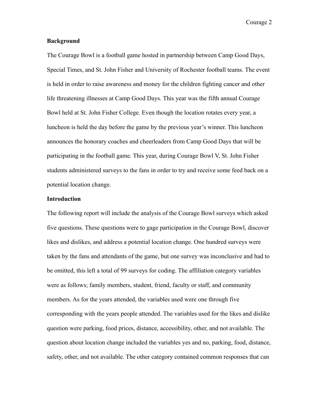#### **Background**

The Courage Bowl is a football game hosted in partnership between Camp Good Days, Special Times, and St. John Fisher and University of Rochester football teams. The event is held in order to raise awareness and money for the children fighting cancer and other life threatening illnesses at Camp Good Days. This year was the fifth annual Courage Bowl held at St. John Fisher College. Even though the location rotates every year, a luncheon is held the day before the game by the previous year's winner. This luncheon announces the honorary coaches and cheerleaders from Camp Good Days that will be participating in the football game. This year, during Courage Bowl V, St. John Fisher students administered surveys to the fans in order to try and receive some feed back on a potential location change.

#### **Introduction**

The following report will include the analysis of the Courage Bowl surveys which asked five questions. These questions were to gage participation in the Courage Bowl, discover likes and dislikes, and address a potential location change. One hundred surveys were taken by the fans and attendants of the game, but one survey was inconclusive and had to be omitted, this left a total of 99 surveys for coding. The affiliation category variables were as follows; family members, student, friend, faculty or staff, and community members. As for the years attended, the variables used were one through five corresponding with the years people attended. The variables used for the likes and dislike question were parking, food prices, distance, accessibility, other, and not available. The question about location change included the variables yes and no, parking, food, distance, safety, other, and not available. The other category contained common responses that can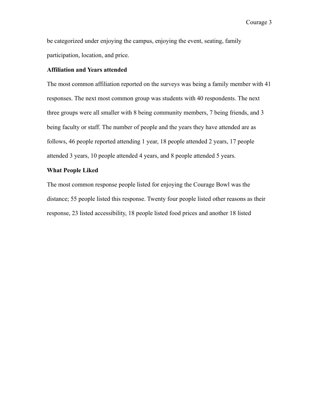be categorized under enjoying the campus, enjoying the event, seating, family participation, location, and price.

## **Affiliation and Years attended**

The most common affiliation reported on the surveys was being a family member with 41 responses. The next most common group was students with 40 respondents. The next three groups were all smaller with 8 being community members, 7 being friends, and 3 being faculty or staff. The number of people and the years they have attended are as follows, 46 people reported attending 1 year, 18 people attended 2 years, 17 people attended 3 years, 10 people attended 4 years, and 8 people attended 5 years.

### **What People Liked**

The most common response people listed for enjoying the Courage Bowl was the distance; 55 people listed this response. Twenty four people listed other reasons as their response, 23 listed accessibility, 18 people listed food prices and another 18 listed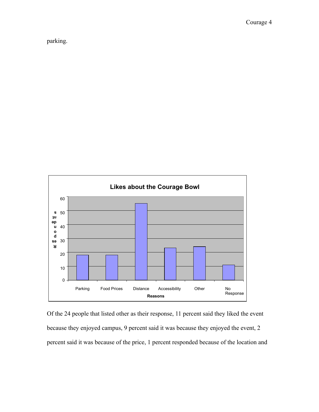parking.



Of the 24 people that listed other as their response, 11 percent said they liked the event because they enjoyed campus, 9 percent said it was because they enjoyed the event, 2 percent said it was because of the price, 1 percent responded because of the location and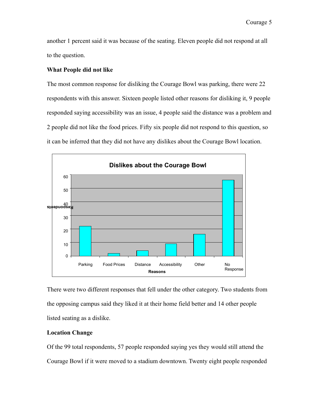another 1 percent said it was because of the seating. Eleven people did not respond at all to the question.

## **What People did not like**

The most common response for disliking the Courage Bowl was parking, there were 22 respondents with this answer. Sixteen people listed other reasons for disliking it, 9 people responded saying accessibility was an issue, 4 people said the distance was a problem and 2 people did not like the food prices. Fifty six people did not respond to this question, so it can be inferred that they did not have any dislikes about the Courage Bowl location.



There were two different responses that fell under the other category. Two students from the opposing campus said they liked it at their home field better and 14 other people listed seating as a dislike.

## **Location Change**

Of the 99 total respondents, 57 people responded saying yes they would still attend the Courage Bowl if it were moved to a stadium downtown. Twenty eight people responded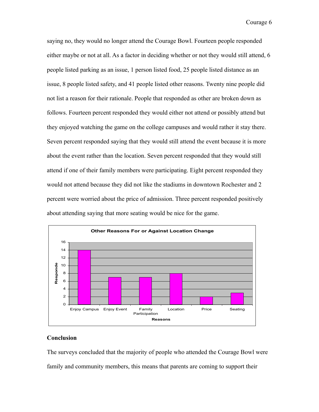saying no, they would no longer attend the Courage Bowl. Fourteen people responded either maybe or not at all. As a factor in deciding whether or not they would still attend, 6 people listed parking as an issue, 1 person listed food, 25 people listed distance as an issue, 8 people listed safety, and 41 people listed other reasons. Twenty nine people did not list a reason for their rationale. People that responded as other are broken down as follows. Fourteen percent responded they would either not attend or possibly attend but they enjoyed watching the game on the college campuses and would rather it stay there. Seven percent responded saying that they would still attend the event because it is more about the event rather than the location. Seven percent responded that they would still attend if one of their family members were participating. Eight percent responded they would not attend because they did not like the stadiums in downtown Rochester and 2 percent were worried about the price of admission. Three percent responded positively about attending saying that more seating would be nice for the game.



### **Conclusion**

The surveys concluded that the majority of people who attended the Courage Bowl were family and community members, this means that parents are coming to support their